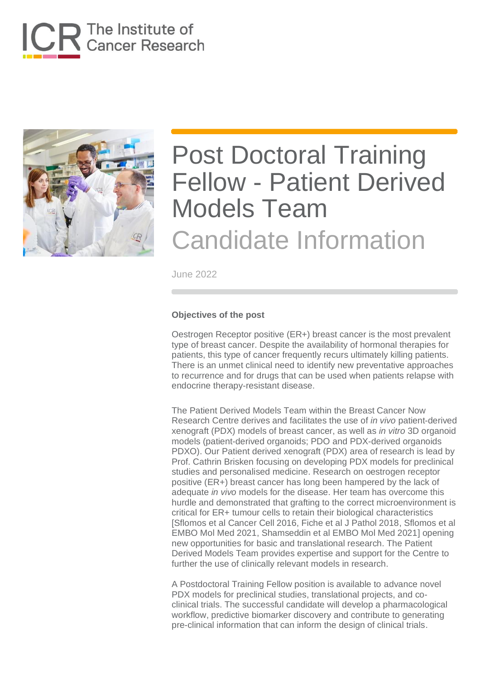



June 2022

#### **Objectives of the post**

Oestrogen Receptor positive (ER+) breast cancer is the most prevalent type of breast cancer. Despite the availability of hormonal therapies for patients, this type of cancer frequently recurs ultimately killing patients. There is an unmet clinical need to identify new preventative approaches to recurrence and for drugs that can be used when patients relapse with endocrine therapy-resistant disease.

The Patient Derived Models Team within the Breast Cancer Now Research Centre derives and facilitates the use of *in vivo* patient-derived xenograft (PDX) models of breast cancer, as well as *in vitro* 3D organoid models (patient-derived organoids; PDO and PDX-derived organoids PDXO). Our Patient derived xenograft (PDX) area of research is lead by Prof. Cathrin Brisken focusing on developing PDX models for preclinical studies and personalised medicine. Research on oestrogen receptor positive (ER+) breast cancer has long been hampered by the lack of adequate *in vivo* models for the disease. Her team has overcome this hurdle and demonstrated that grafting to the correct microenvironment is critical for ER+ tumour cells to retain their biological characteristics [Sflomos et al Cancer Cell 2016, Fiche et al J Pathol 2018, Sflomos et al EMBO Mol Med 2021, Shamseddin et al EMBO Mol Med 2021] opening new opportunities for basic and translational research. The Patient Derived Models Team provides expertise and support for the Centre to further the use of clinically relevant models in research.

A Postdoctoral Training Fellow position is available to advance novel PDX models for preclinical studies, translational projects, and coclinical trials. The successful candidate will develop a pharmacological workflow, predictive biomarker discovery and contribute to generating pre-clinical information that can inform the design of clinical trials.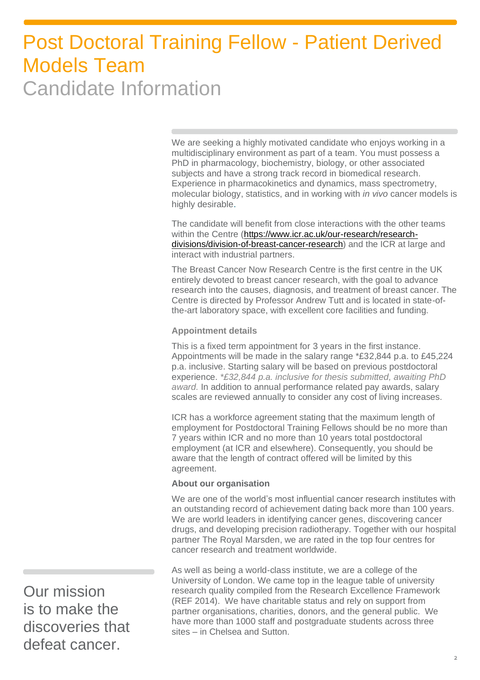We are seeking a highly motivated candidate who enjoys working in a multidisciplinary environment as part of a team. You must possess a PhD in pharmacology, biochemistry, biology, or other associated subjects and have a strong track record in biomedical research. Experience in pharmacokinetics and dynamics, mass spectrometry, molecular biology, statistics, and in working with *in vivo* cancer models is highly desirable.

The candidate will benefit from close interactions with the other teams within the Centre [\(https://www.icr.ac.uk/our-research/research](https://www.icr.ac.uk/our-research/research-divisions/division-of-breast-cancer-research)[divisions/division-of-breast-cancer-research\)](https://www.icr.ac.uk/our-research/research-divisions/division-of-breast-cancer-research) and the ICR at large and interact with industrial partners.

The Breast Cancer Now Research Centre is the first centre in the UK entirely devoted to breast cancer research, with the goal to advance research into the causes, diagnosis, and treatment of breast cancer. The Centre is directed by Professor Andrew Tutt and is located in state-ofthe-art laboratory space, with excellent core facilities and funding.

#### **Appointment details**

This is a fixed term appointment for 3 years in the first instance. Appointments will be made in the salary range \*£32,844 p.a. to £45,224 p.a. inclusive. Starting salary will be based on previous postdoctoral experience. *\*£32,844 p.a. inclusive for thesis submitted, awaiting PhD award.* In addition to annual performance related pay awards, salary scales are reviewed annually to consider any cost of living increases.

ICR has a workforce agreement stating that the maximum length of employment for Postdoctoral Training Fellows should be no more than 7 years within ICR and no more than 10 years total postdoctoral employment (at ICR and elsewhere). Consequently, you should be aware that the length of contract offered will be limited by this agreement.

#### **About our organisation**

We are one of the world's most influential cancer research institutes with an outstanding record of achievement dating back more than 100 years. We are world leaders in identifying cancer genes, discovering cancer drugs, and developing precision radiotherapy. Together with our hospital partner The Royal Marsden, we are rated in the top four centres for cancer research and treatment worldwide.

As well as being a world-class institute, we are a college of the University of London. We came top in the league table of university research quality compiled from the Research Excellence Framework (REF 2014). We have charitable status and rely on support from partner organisations, charities, donors, and the general public. We have more than 1000 staff and postgraduate students across three sites – in Chelsea and Sutton.

Our mission is to make the discoveries that defeat cancer.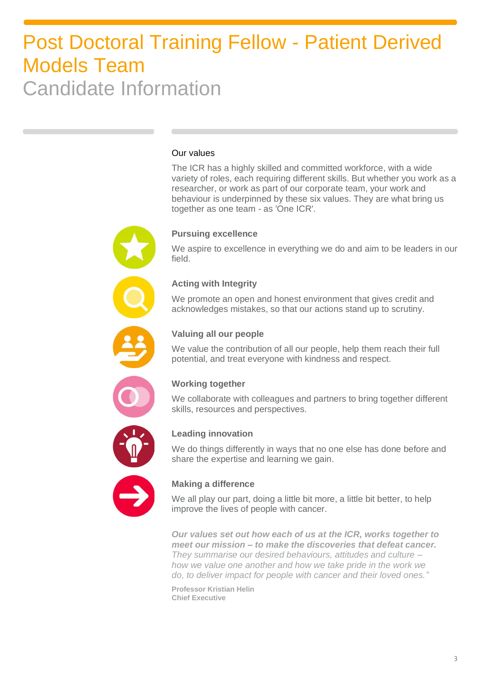#### Our values

The ICR has a highly skilled and committed workforce, with a wide variety of roles, each requiring different skills. But whether you work as a researcher, or work as part of our corporate team, your work and behaviour is underpinned by these six values. They are what bring us together as one team - as 'One ICR'.



#### **Pursuing excellence**

We aspire to excellence in everything we do and aim to be leaders in our field.

#### **Acting with Integrity**

We promote an open and honest environment that gives credit and acknowledges mistakes, so that our actions stand up to scrutiny.



#### **Valuing all our people**

We value the contribution of all our people, help them reach their full potential, and treat everyone with kindness and respect.



#### **Working together**

We collaborate with colleagues and partners to bring together different skills, resources and perspectives.



#### **Leading innovation**

We do things differently in ways that no one else has done before and share the expertise and learning we gain.



#### **Making a difference**

We all play our part, doing a little bit more, a little bit better, to help improve the lives of people with cancer.

*Our values set out how each of us at the ICR, works together to meet our mission – to make the discoveries that defeat cancer. They summarise our desired behaviours, attitudes and culture – how we value one another and how we take pride in the work we do, to deliver impact for people with cancer and their loved ones."*

**Professor Kristian Helin Chief Executive**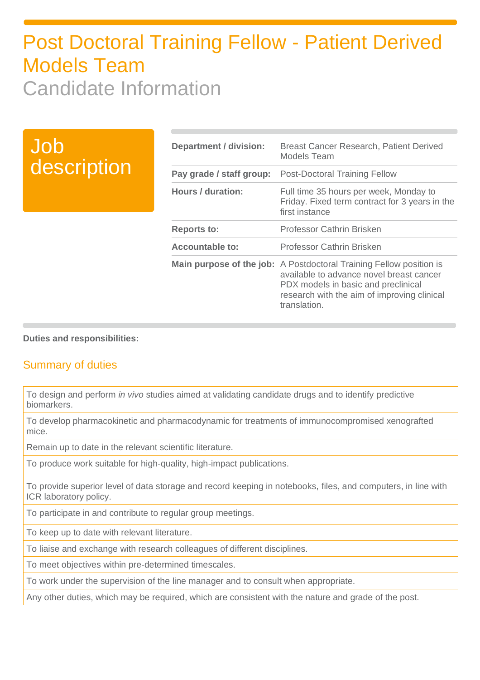### Job description

| Department / division:   | <b>Breast Cancer Research, Patient Derived</b><br>Models Team                                                                                                                                                                |
|--------------------------|------------------------------------------------------------------------------------------------------------------------------------------------------------------------------------------------------------------------------|
| Pay grade / staff group: | <b>Post-Doctoral Training Fellow</b>                                                                                                                                                                                         |
| Hours / duration:        | Full time 35 hours per week, Monday to<br>Friday. Fixed term contract for 3 years in the<br>first instance                                                                                                                   |
| <b>Reports to:</b>       | Professor Cathrin Brisken                                                                                                                                                                                                    |
| <b>Accountable to:</b>   | Professor Cathrin Brisken                                                                                                                                                                                                    |
|                          | <b>Main purpose of the job:</b> A Postdoctoral Training Fellow position is<br>available to advance novel breast cancer<br>PDX models in basic and preclinical<br>research with the aim of improving clinical<br>translation. |

#### **Duties and responsibilities:**

### Summary of duties

To design and perform *in vivo* studies aimed at validating candidate drugs and to identify predictive biomarkers.

To develop pharmacokinetic and pharmacodynamic for treatments of immunocompromised xenografted mice.

Remain up to date in the relevant scientific literature.

To produce work suitable for high-quality, high-impact publications.

To provide superior level of data storage and record keeping in notebooks, files, and computers, in line with ICR laboratory policy.

To participate in and contribute to regular group meetings.

To keep up to date with relevant literature.

To liaise and exchange with research colleagues of different disciplines.

To meet objectives within pre-determined timescales.

To work under the supervision of the line manager and to consult when appropriate.

Any other duties, which may be required, which are consistent with the nature and grade of the post.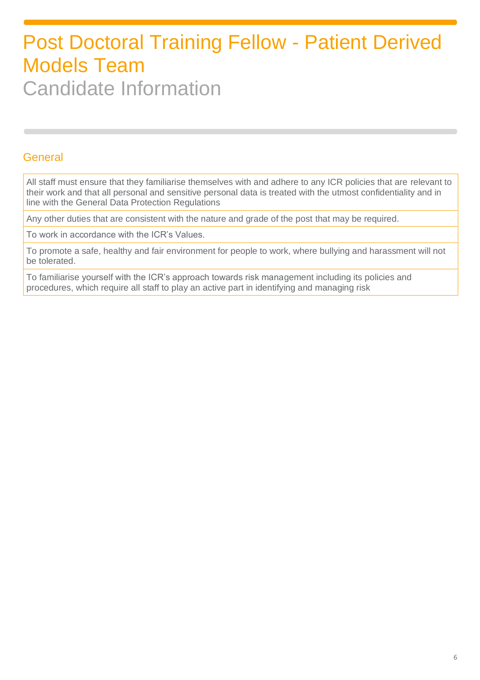### General

All staff must ensure that they familiarise themselves with and adhere to any ICR policies that are relevant to their work and that all personal and sensitive personal data is treated with the utmost confidentiality and in line with the General Data Protection Regulations

Any other duties that are consistent with the nature and grade of the post that may be required.

To work in accordance with the ICR's Values.

To promote a safe, healthy and fair environment for people to work, where bullying and harassment will not be tolerated.

To familiarise yourself with the ICR's approach towards risk management including its policies and procedures, which require all staff to play an active part in identifying and managing risk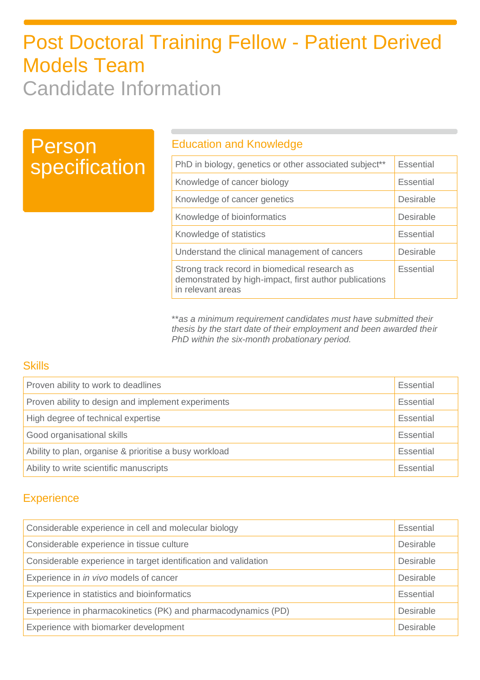### Person specification

### Education and Knowledge

| PhD in biology, genetics or other associated subject**                                                                       | <b>Essential</b> |
|------------------------------------------------------------------------------------------------------------------------------|------------------|
| Knowledge of cancer biology                                                                                                  | Essential        |
| Knowledge of cancer genetics                                                                                                 | <b>Desirable</b> |
| Knowledge of bioinformatics                                                                                                  | Desirable        |
| Knowledge of statistics                                                                                                      | Essential        |
| Understand the clinical management of cancers                                                                                | Desirable        |
| Strong track record in biomedical research as<br>demonstrated by high-impact, first author publications<br>in relevant areas | Essential        |

\*\**as a minimum requirement candidates must have submitted their thesis by the start date of their employment and been awarded their PhD within the six-month probationary period.*

### **Skills**

| Proven ability to work to deadlines                    | Essential |
|--------------------------------------------------------|-----------|
| Proven ability to design and implement experiments     |           |
| High degree of technical expertise<br>Essential        |           |
| Good organisational skills                             |           |
| Ability to plan, organise & prioritise a busy workload | Essential |
| Ability to write scientific manuscripts                | Essential |

### **Experience**

| Considerable experience in cell and molecular biology           |  |
|-----------------------------------------------------------------|--|
| Considerable experience in tissue culture                       |  |
| Considerable experience in target identification and validation |  |
| Experience in in vivo models of cancer                          |  |
| Experience in statistics and bioinformatics                     |  |
| Experience in pharmacokinetics (PK) and pharmacodynamics (PD)   |  |
| Experience with biomarker development                           |  |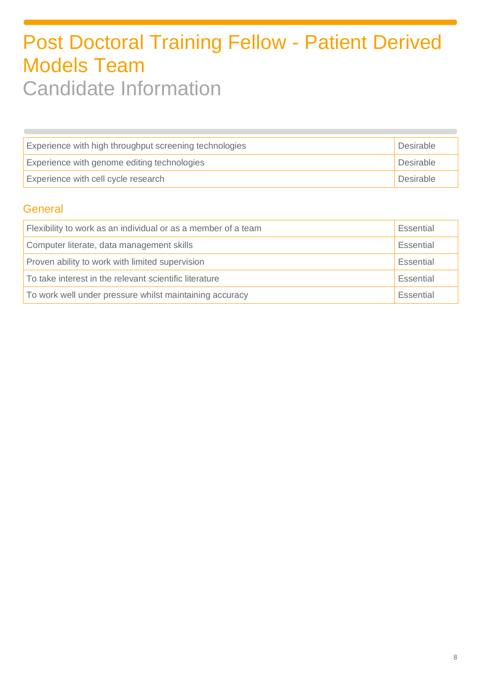| Experience with high throughput screening technologies   | Desirable |
|----------------------------------------------------------|-----------|
| Desirable<br>Experience with genome editing technologies |           |
| Desirable<br>Experience with cell cycle research         |           |

### **General**

| Flexibility to work as an individual or as a member of a team        |  |
|----------------------------------------------------------------------|--|
| Computer literate, data management skills                            |  |
| Proven ability to work with limited supervision<br>Essential         |  |
| To take interest in the relevant scientific literature<br>Essential  |  |
| To work well under pressure whilst maintaining accuracy<br>Essential |  |